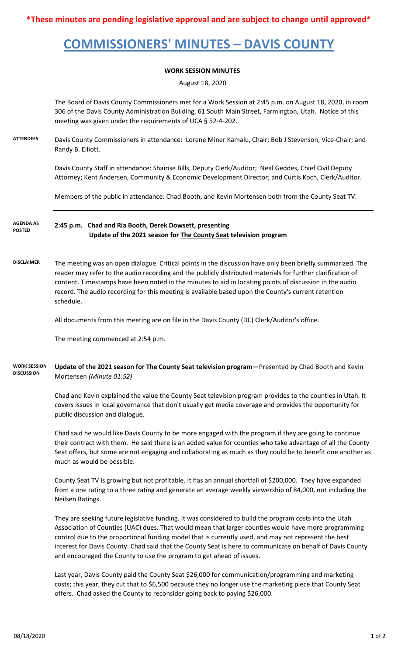**\*These minutes are pending legislative approval and are subject to change until approved\***

## **COMMISSIONERS' MINUTES – DAVIS COUNTY**

## **WORK SESSION MINUTES**

August 18, 2020

The Board of Davis County Commissioners met for a Work Session at 2:45 p.m. on August 18, 2020, in room 306 of the Davis County Administration Building, 61 South Main Street, Farmington, Utah. Notice of this meeting was given under the requirements of UCA § 52-4-202.

**ATTENDEES** Davis County Commissioners in attendance: Lorene Miner Kamalu, Chair; Bob J Stevenson, Vice-Chair; and Randy B. Elliott.

> Davis County Staff in attendance: Shairise Bills, Deputy Clerk/Auditor; Neal Geddes, Chief Civil Deputy Attorney; Kent Andersen, Community & Economic Development Director; and Curtis Koch, Clerk/Auditor.

Members of the public in attendance: Chad Booth, and Kevin Mortensen both from the County Seat TV.

**2:45 p.m. Chad and Ria Booth, Derek Dowsett, presenting Update of the 2021 season for The County Seat television program AGENDA AS POSTED**

**DISCLAIMER** The meeting was an open dialogue. Critical points in the discussion have only been briefly summarized. The reader may refer to the audio recording and the publicly distributed materials for further clarification of content. Timestamps have been noted in the minutes to aid in locating points of discussion in the audio record. The audio recording for this meeting is available based upon the County's current retention schedule.

All documents from this meeting are on file in the Davis County (DC) Clerk/Auditor's office.

The meeting commenced at 2:54 p.m.

**Update of the 2021 season for The County Seat television program—**Presented by Chad Booth and Kevin Mortensen *(Minute 01:52)* **WORK SESSION DISCUSSION**

> Chad and Kevin explained the value the County Seat television program provides to the counties in Utah. It covers issues in local governance that don't usually get media coverage and provides the opportunity for public discussion and dialogue.

Chad said he would like Davis County to be more engaged with the program if they are going to continue their contract with them. He said there is an added value for counties who take advantage of all the County Seat offers, but some are not engaging and collaborating as much as they could be to benefit one another as much as would be possible.

County Seat TV is growing but not profitable. It has an annual shortfall of \$200,000. They have expanded from a one rating to a three rating and generate an average weekly viewership of 84,000, not including the Neilsen Ratings.

They are seeking future legislative funding. It was considered to build the program costs into the Utah Association of Counties (UAC) dues. That would mean that larger counties would have more programming control due to the proportional funding model that is currently used, and may not represent the best interest for Davis County. Chad said that the County Seat is here to communicate on behalf of Davis County and encouraged the County to use the program to get ahead of issues.

Last year, Davis County paid the County Seat \$26,000 for communication/programming and marketing costs; this year, they cut that to \$6,500 because they no longer use the marketing piece that County Seat offers. Chad asked the County to reconsider going back to paying \$26,000.